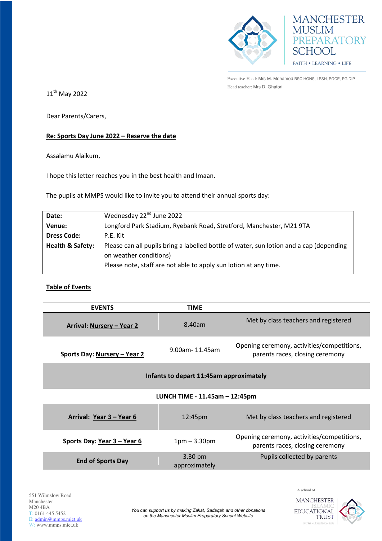



Executive Head: Mrs M. Mohamed BSC.HONS, LPSH, PGCE, PG.DIP Head teacher: Mrs D. Ghafori

11<sup>th</sup> May 2022

Dear Parents/Carers,

## **Re: Sports Day June 2022 – Reserve the date**

Assalamu Alaikum,

I hope this letter reaches you in the best health and Imaan.

The pupils at MMPS would like to invite you to attend their annual sports day:

| Date:                       | Wednesday 22 <sup>nd</sup> June 2022                                                    |  |
|-----------------------------|-----------------------------------------------------------------------------------------|--|
| Venue:                      | Longford Park Stadium, Ryebank Road, Stretford, Manchester, M21 9TA                     |  |
| <b>Dress Code:</b>          | P.E. Kit                                                                                |  |
| <b>Health &amp; Safety:</b> | Please can all pupils bring a labelled bottle of water, sun lotion and a cap (depending |  |
|                             | on weather conditions)                                                                  |  |
|                             | Please note, staff are not able to apply sun lotion at any time.                        |  |

## **Table of Events**

| <b>EVENTS</b>                           | <b>TIME</b>    |                                                                               |  |
|-----------------------------------------|----------------|-------------------------------------------------------------------------------|--|
| Arrival: Nursery - Year 2               | 8.40am         | Met by class teachers and registered                                          |  |
| Sports Day: Nursery - Year 2            | 9.00am-11.45am | Opening ceremony, activities/competitions,<br>parents races, closing ceremony |  |
| Infants to depart 11:45am approximately |                |                                                                               |  |
| LUNCH TIME - 11.45am - 12:45pm          |                |                                                                               |  |
| Arrival: Year 3 – Year 6                | 12:45pm        | Met by class teachers and registered                                          |  |
| Sports Day: Year 3 - Year 6             | $1pm - 3.30pm$ | Opening ceremony, activities/competitions,<br>parents races, closing ceremony |  |
|                                         | 3.30 pm        | Pupils collected by parents                                                   |  |

A school of